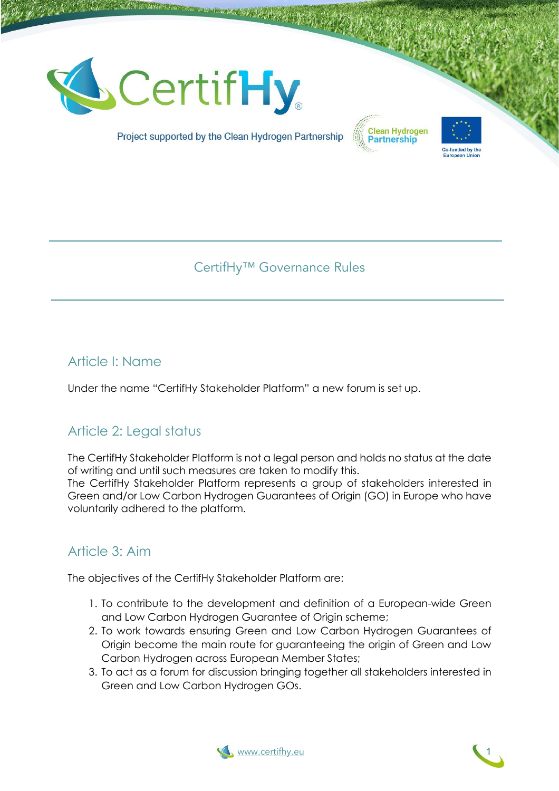





Project supported by the Clean Hydrogen Partnership

# CertifHy™ Governance Rules

# Article I: Name

Under the name "CertifHy Stakeholder Platform" a new forum is set up.

# Article 2: Legal status

The CertifHy Stakeholder Platform is not a legal person and holds no status at the date of writing and until such measures are taken to modify this.

The CertifHy Stakeholder Platform represents a group of stakeholders interested in Green and/or Low Carbon Hydrogen Guarantees of Origin (GO) in Europe who have voluntarily adhered to the platform.

# Article 3: Aim

The objectives of the CertifHy Stakeholder Platform are:

- 1. To contribute to the development and definition of a European-wide Green and Low Carbon Hydrogen Guarantee of Origin scheme;
- 2. To work towards ensuring Green and Low Carbon Hydrogen Guarantees of Origin become the main route for guaranteeing the origin of Green and Low Carbon Hydrogen across European Member States;
- 3. To act as a forum for discussion bringing together all stakeholders interested in Green and Low Carbon Hydrogen GOs.



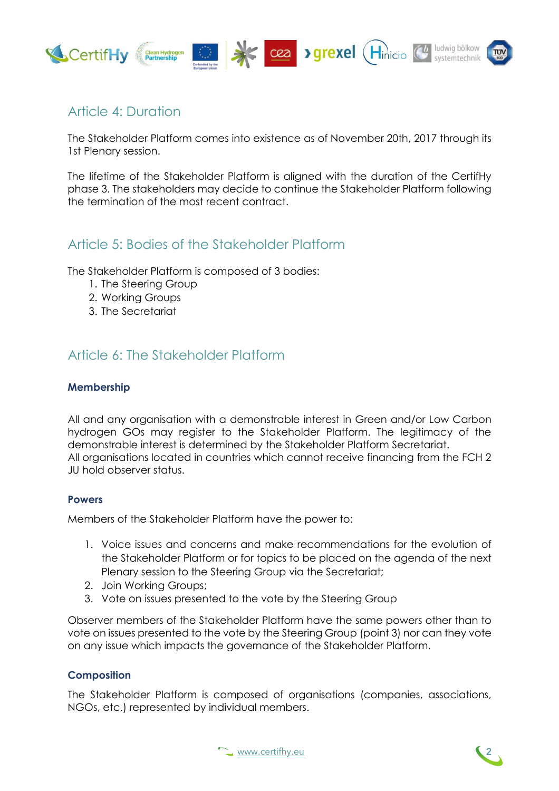

# Article 4: Duration

The Stakeholder Platform comes into existence as of November 20th, 2017 through its 1st Plenary session.

The lifetime of the Stakeholder Platform is aligned with the duration of the CertifHy phase 3. The stakeholders may decide to continue the Stakeholder Platform following the termination of the most recent contract.

## Article 5: Bodies of the Stakeholder Platform

The Stakeholder Platform is composed of 3 bodies:

- 1. The Steering Group
- 2. Working Groups
- 3. The Secretariat

# Article 6: The Stakeholder Platform

## **Membership**

All and any organisation with a demonstrable interest in Green and/or Low Carbon hydrogen GOs may register to the Stakeholder Platform. The legitimacy of the demonstrable interest is determined by the Stakeholder Platform Secretariat. All organisations located in countries which cannot receive financing from the FCH 2 JU hold observer status.

## **Powers**

Members of the Stakeholder Platform have the power to:

- 1. Voice issues and concerns and make recommendations for the evolution of the Stakeholder Platform or for topics to be placed on the agenda of the next Plenary session to the Steering Group via the Secretariat;
- 2. Join Working Groups;
- 3. Vote on issues presented to the vote by the Steering Group

Observer members of the Stakeholder Platform have the same powers other than to vote on issues presented to the vote by the Steering Group (point 3) nor can they vote on any issue which impacts the governance of the Stakeholder Platform.

## **Composition**

The Stakeholder Platform is composed of organisations (companies, associations, NGOs, etc.) represented by individual members.



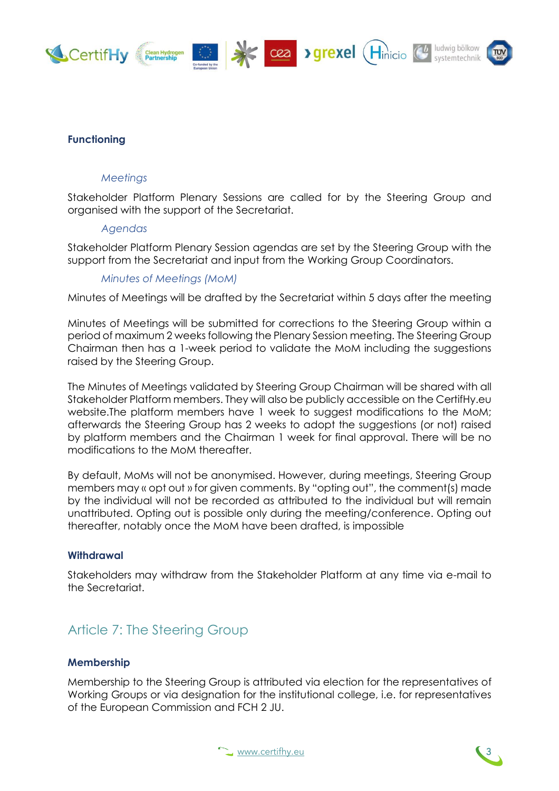

## **Functioning**

### *Meetings*

Stakeholder Platform Plenary Sessions are called for by the Steering Group and organised with the support of the Secretariat.

#### *Agendas*

Stakeholder Platform Plenary Session agendas are set by the Steering Group with the support from the Secretariat and input from the Working Group Coordinators.

*Minutes of Meetings (MoM)*

Minutes of Meetings will be drafted by the Secretariat within 5 days after the meeting

Minutes of Meetings will be submitted for corrections to the Steering Group within a period of maximum 2 weeks following the Plenary Session meeting. The Steering Group Chairman then has a 1-week period to validate the MoM including the suggestions raised by the Steering Group.

The Minutes of Meetings validated by Steering Group Chairman will be shared with all Stakeholder Platform members. They will also be publicly accessible on the CertifHy.eu website.The platform members have 1 week to suggest modifications to the MoM; afterwards the Steering Group has 2 weeks to adopt the suggestions (or not) raised by platform members and the Chairman 1 week for final approval. There will be no modifications to the MoM thereafter.

By default, MoMs will not be anonymised. However, during meetings, Steering Group members may « opt out » for given comments. By "opting out", the comment(s) made by the individual will not be recorded as attributed to the individual but will remain unattributed. Opting out is possible only during the meeting/conference. Opting out thereafter, notably once the MoM have been drafted, is impossible

#### **Withdrawal**

Stakeholders may withdraw from the Stakeholder Platform at any time via e-mail to the Secretariat.

# Article 7: The Steering Group

#### **Membership**

Membership to the Steering Group is attributed via election for the representatives of Working Groups or via designation for the institutional college, i.e. for representatives of the European Commission and FCH 2 JU.



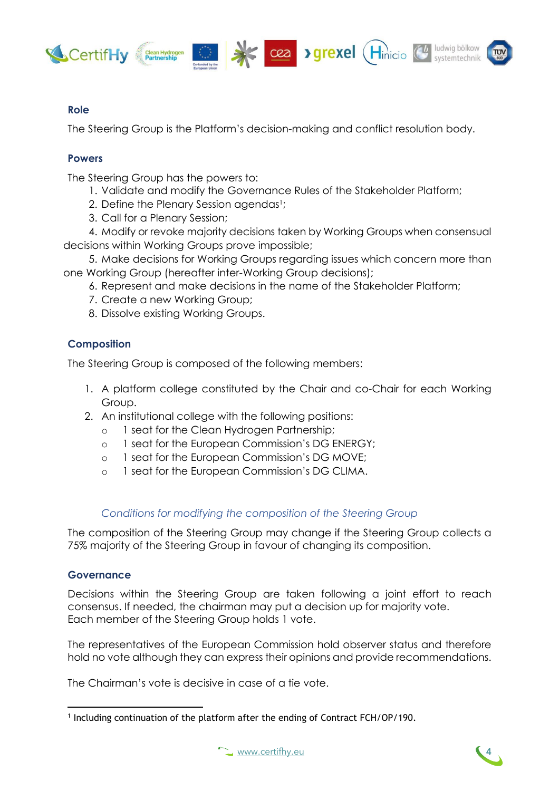





## **Role**

The Steering Group is the Platform's decision-making and conflict resolution body.

## **Powers**

The Steering Group has the powers to:

- 1. Validate and modify the Governance Rules of the Stakeholder Platform;
- 2. Define the Plenary Session agendas1;
- 3. Call for a Plenary Session;

4. Modify or revoke majority decisions taken by Working Groups when consensual decisions within Working Groups prove impossible;

5. Make decisions for Working Groups regarding issues which concern more than one Working Group (hereafter inter-Working Group decisions);

- 6. Represent and make decisions in the name of the Stakeholder Platform;
- 7. Create a new Working Group;
- 8. Dissolve existing Working Groups.

## **Composition**

The Steering Group is composed of the following members:

- 1. A platform college constituted by the Chair and co-Chair for each Working Group.
- 2. An institutional college with the following positions:
	- 1 seat for the Clean Hydrogen Partnership;
	- o 1 seat for the European Commission's DG ENERGY;
	- o 1 seat for the European Commission's DG MOVE;
	- o 1 seat for the European Commission's DG CLIMA.

## *Conditions for modifying the composition of the Steering Group*

The composition of the Steering Group may change if the Steering Group collects a 75% majority of the Steering Group in favour of changing its composition.

## **Governance**

Decisions within the Steering Group are taken following a joint effort to reach consensus. If needed, the chairman may put a decision up for majority vote. Each member of the Steering Group holds 1 vote.

The representatives of the European Commission hold observer status and therefore hold no vote although they can express their opinions and provide recommendations.

The Chairman's vote is decisive in case of a tie vote.



<sup>&</sup>lt;sup>1</sup> Including continuation of the platform after the ending of Contract FCH/OP/190.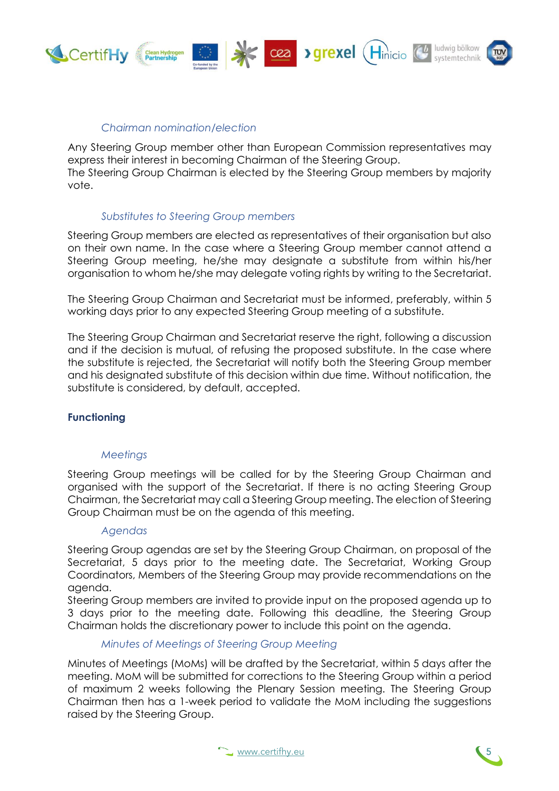

## *Chairman nomination/election*

Any Steering Group member other than European Commission representatives may express their interest in becoming Chairman of the Steering Group. The Steering Group Chairman is elected by the Steering Group members by majority vote.

### *Substitutes to Steering Group members*

Steering Group members are elected as representatives of their organisation but also on their own name. In the case where a Steering Group member cannot attend a Steering Group meeting, he/she may designate a substitute from within his/her organisation to whom he/she may delegate voting rights by writing to the Secretariat.

The Steering Group Chairman and Secretariat must be informed, preferably, within 5 working days prior to any expected Steering Group meeting of a substitute.

The Steering Group Chairman and Secretariat reserve the right, following a discussion and if the decision is mutual, of refusing the proposed substitute. In the case where the substitute is rejected, the Secretariat will notify both the Steering Group member and his designated substitute of this decision within due time. Without notification, the substitute is considered, by default, accepted.

#### **Functioning**

#### *Meetings*

Steering Group meetings will be called for by the Steering Group Chairman and organised with the support of the Secretariat. If there is no acting Steering Group Chairman, the Secretariat may call a Steering Group meeting. The election of Steering Group Chairman must be on the agenda of this meeting.

#### *Agendas*

Steering Group agendas are set by the Steering Group Chairman, on proposal of the Secretariat, 5 days prior to the meeting date. The Secretariat, Working Group Coordinators, Members of the Steering Group may provide recommendations on the agenda.

Steering Group members are invited to provide input on the proposed agenda up to 3 days prior to the meeting date. Following this deadline, the Steering Group Chairman holds the discretionary power to include this point on the agenda.

#### *Minutes of Meetings of Steering Group Meeting*

Minutes of Meetings (MoMs) will be drafted by the Secretariat, within 5 days after the meeting. MoM will be submitted for corrections to the Steering Group within a period of maximum 2 weeks following the Plenary Session meeting. The Steering Group Chairman then has a 1-week period to validate the MoM including the suggestions raised by the Steering Group.



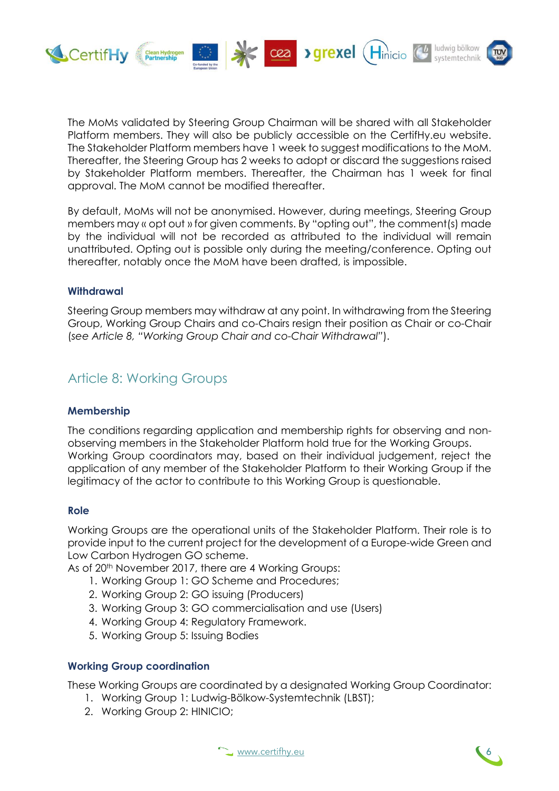

The MoMs validated by Steering Group Chairman will be shared with all Stakeholder Platform members. They will also be publicly accessible on the CertifHy.eu website. The Stakeholder Platform members have 1 week to suggest modifications to the MoM. Thereafter, the Steering Group has 2 weeks to adopt or discard the suggestions raised by Stakeholder Platform members. Thereafter, the Chairman has 1 week for final approval. The MoM cannot be modified thereafter.

By default, MoMs will not be anonymised. However, during meetings, Steering Group members may « opt out » for given comments. By "opting out", the comment(s) made by the individual will not be recorded as attributed to the individual will remain unattributed. Opting out is possible only during the meeting/conference. Opting out thereafter, notably once the MoM have been drafted, is impossible.

### **Withdrawal**

Steering Group members may withdraw at any point. In withdrawing from the Steering Group, Working Group Chairs and co-Chairs resign their position as Chair or co-Chair (*see Article 8, "Working Group Chair and co-Chair Withdrawal"*).

## Article 8: Working Groups

## **Membership**

The conditions regarding application and membership rights for observing and nonobserving members in the Stakeholder Platform hold true for the Working Groups. Working Group coordinators may, based on their individual judgement, reject the application of any member of the Stakeholder Platform to their Working Group if the legitimacy of the actor to contribute to this Working Group is questionable.

#### **Role**

Working Groups are the operational units of the Stakeholder Platform. Their role is to provide input to the current project for the development of a Europe-wide Green and Low Carbon Hydrogen GO scheme.

As of 20<sup>th</sup> November 2017, there are 4 Working Groups:

- 1. Working Group 1: GO Scheme and Procedures;
- 2. Working Group 2: GO issuing (Producers)
- 3. Working Group 3: GO commercialisation and use (Users)
- 4. Working Group 4: Regulatory Framework.
- 5. Working Group 5: Issuing Bodies

#### **Working Group coordination**

These Working Groups are coordinated by a designated Working Group Coordinator:

- 1. Working Group 1: Ludwig-Bölkow-Systemtechnik (LBST);
- 2. Working Group 2: HINICIO;



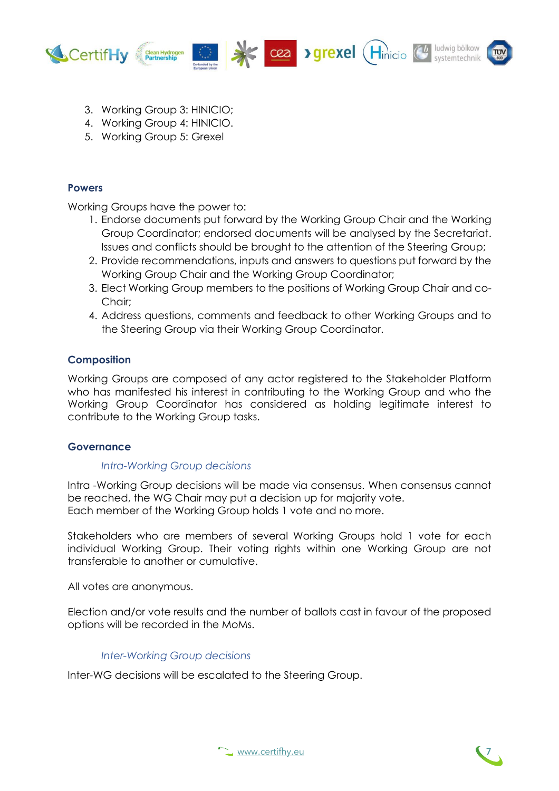

- 3. Working Group 3: HINICIO;
- 4. Working Group 4: HINICIO.
- 5. Working Group 5: Grexel

## **Powers**

Working Groups have the power to:

- 1. Endorse documents put forward by the Working Group Chair and the Working Group Coordinator; endorsed documents will be analysed by the Secretariat. Issues and conflicts should be brought to the attention of the Steering Group;
- 2. Provide recommendations, inputs and answers to questions put forward by the Working Group Chair and the Working Group Coordinator;
- 3. Elect Working Group members to the positions of Working Group Chair and co-Chair;
- 4. Address questions, comments and feedback to other Working Groups and to the Steering Group via their Working Group Coordinator.

## **Composition**

Working Groups are composed of any actor registered to the Stakeholder Platform who has manifested his interest in contributing to the Working Group and who the Working Group Coordinator has considered as holding legitimate interest to contribute to the Working Group tasks.

#### **Governance**

#### *Intra-Working Group decisions*

Intra -Working Group decisions will be made via consensus. When consensus cannot be reached, the WG Chair may put a decision up for majority vote. Each member of the Working Group holds 1 vote and no more.

Stakeholders who are members of several Working Groups hold 1 vote for each individual Working Group. Their voting rights within one Working Group are not transferable to another or cumulative.

All votes are anonymous.

Election and/or vote results and the number of ballots cast in favour of the proposed options will be recorded in the MoMs.

## *Inter-Working Group decisions*

Inter-WG decisions will be escalated to the Steering Group.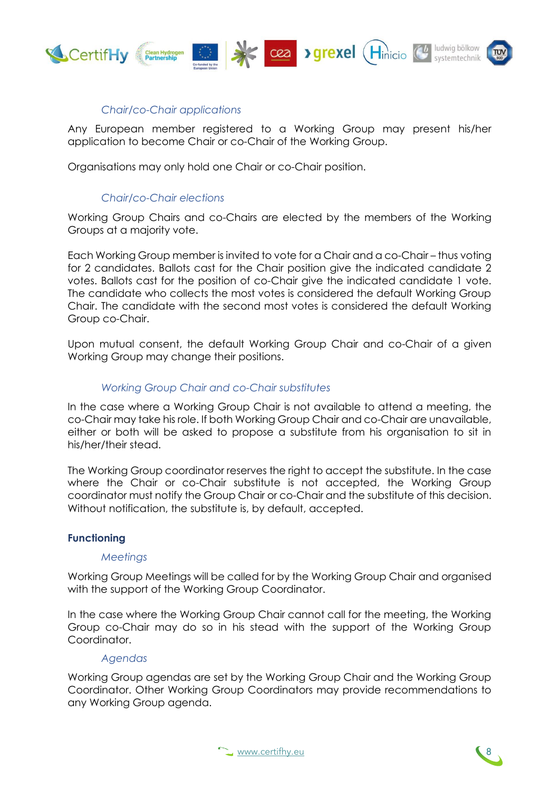

## *Chair/co-Chair applications*

Any European member registered to a Working Group may present his/her application to become Chair or co-Chair of the Working Group.

Organisations may only hold one Chair or co-Chair position.

## *Chair/co-Chair elections*

Working Group Chairs and co-Chairs are elected by the members of the Working Groups at a majority vote.

Each Working Group member is invited to vote for a Chair and a co-Chair – thus voting for 2 candidates. Ballots cast for the Chair position give the indicated candidate 2 votes. Ballots cast for the position of co-Chair give the indicated candidate 1 vote. The candidate who collects the most votes is considered the default Working Group Chair. The candidate with the second most votes is considered the default Working Group co-Chair.

Upon mutual consent, the default Working Group Chair and co-Chair of a given Working Group may change their positions.

## *Working Group Chair and co-Chair substitutes*

In the case where a Working Group Chair is not available to attend a meeting, the co-Chair may take his role. If both Working Group Chair and co-Chair are unavailable, either or both will be asked to propose a substitute from his organisation to sit in his/her/their stead.

The Working Group coordinator reserves the right to accept the substitute. In the case where the Chair or co-Chair substitute is not accepted, the Working Group coordinator must notify the Group Chair or co-Chair and the substitute of this decision. Without notification, the substitute is, by default, accepted.

#### **Functioning**

#### *Meetings*

Working Group Meetings will be called for by the Working Group Chair and organised with the support of the Working Group Coordinator.

In the case where the Working Group Chair cannot call for the meeting, the Working Group co-Chair may do so in his stead with the support of the Working Group Coordinator.

#### *Agendas*

Working Group agendas are set by the Working Group Chair and the Working Group Coordinator. Other Working Group Coordinators may provide recommendations to any Working Group agenda.



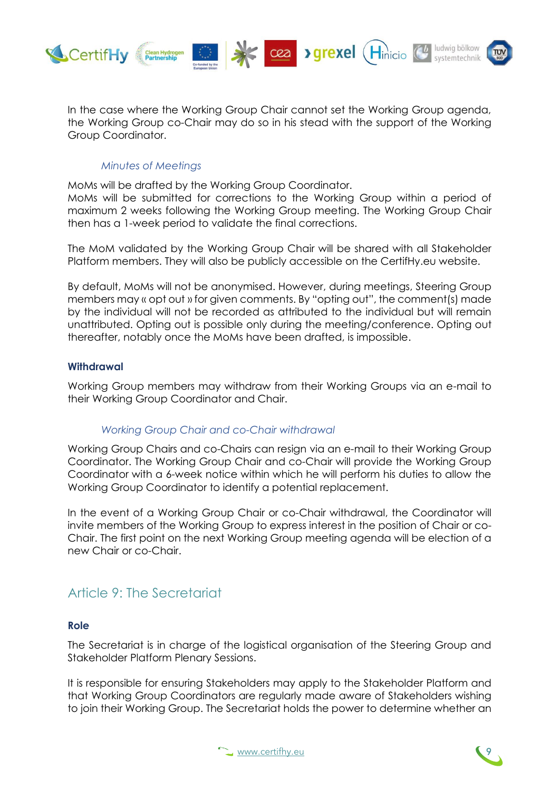

In the case where the Working Group Chair cannot set the Working Group agenda, the Working Group co-Chair may do so in his stead with the support of the Working Group Coordinator.

## *Minutes of Meetings*

MoMs will be drafted by the Working Group Coordinator.

MoMs will be submitted for corrections to the Working Group within a period of maximum 2 weeks following the Working Group meeting. The Working Group Chair then has a 1-week period to validate the final corrections.

The MoM validated by the Working Group Chair will be shared with all Stakeholder Platform members. They will also be publicly accessible on the CertifHy.eu website.

By default, MoMs will not be anonymised. However, during meetings, Steering Group members may « opt out » for given comments. By "opting out", the comment(s) made by the individual will not be recorded as attributed to the individual but will remain unattributed. Opting out is possible only during the meeting/conference. Opting out thereafter, notably once the MoMs have been drafted, is impossible.

## **Withdrawal**

Working Group members may withdraw from their Working Groups via an e-mail to their Working Group Coordinator and Chair.

## *Working Group Chair and co-Chair withdrawal*

Working Group Chairs and co-Chairs can resign via an e-mail to their Working Group Coordinator. The Working Group Chair and co-Chair will provide the Working Group Coordinator with a 6-week notice within which he will perform his duties to allow the Working Group Coordinator to identify a potential replacement.

In the event of a Working Group Chair or co-Chair withdrawal, the Coordinator will invite members of the Working Group to express interest in the position of Chair or co-Chair. The first point on the next Working Group meeting agenda will be election of a new Chair or co-Chair.

## Article 9: The Secretariat

## **Role**

The Secretariat is in charge of the logistical organisation of the Steering Group and Stakeholder Platform Plenary Sessions.

It is responsible for ensuring Stakeholders may apply to the Stakeholder Platform and that Working Group Coordinators are regularly made aware of Stakeholders wishing to join their Working Group. The Secretariat holds the power to determine whether an